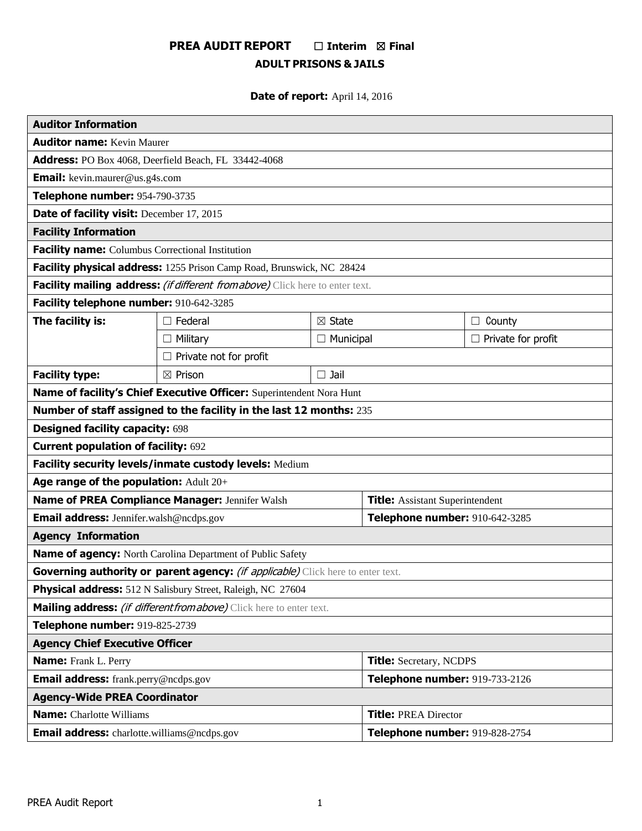# **PREA AUDIT REPORT** ☐ **Interim** ☒ **Final ADULT PRISONS & JAILS**

# **Date of report:** April 14, 2016

| <b>Auditor Information</b>                                                      |                               |                                |                                        |                           |  |
|---------------------------------------------------------------------------------|-------------------------------|--------------------------------|----------------------------------------|---------------------------|--|
| <b>Auditor name: Kevin Maurer</b>                                               |                               |                                |                                        |                           |  |
| Address: PO Box 4068, Deerfield Beach, FL 33442-4068                            |                               |                                |                                        |                           |  |
| <b>Email:</b> kevin.maurer@us.g4s.com                                           |                               |                                |                                        |                           |  |
| Telephone number: 954-790-3735                                                  |                               |                                |                                        |                           |  |
| Date of facility visit: December 17, 2015                                       |                               |                                |                                        |                           |  |
| <b>Facility Information</b>                                                     |                               |                                |                                        |                           |  |
| Facility name: Columbus Correctional Institution                                |                               |                                |                                        |                           |  |
| Facility physical address: 1255 Prison Camp Road, Brunswick, NC 28424           |                               |                                |                                        |                           |  |
| Facility mailing address: (if different from above) Click here to enter text.   |                               |                                |                                        |                           |  |
| Facility telephone number: 910-642-3285                                         |                               |                                |                                        |                           |  |
| The facility is:                                                                | $\Box$ Federal                | $\boxtimes$ State              |                                        | County<br>$\Box$          |  |
|                                                                                 | $\Box$ Military               | $\Box$ Municipal               |                                        | $\Box$ Private for profit |  |
|                                                                                 | $\Box$ Private not for profit |                                |                                        |                           |  |
| <b>Facility type:</b>                                                           | $\boxtimes$ Prison            | $\square$ Jail                 |                                        |                           |  |
| Name of facility's Chief Executive Officer: Superintendent Nora Hunt            |                               |                                |                                        |                           |  |
| Number of staff assigned to the facility in the last 12 months: 235             |                               |                                |                                        |                           |  |
| <b>Designed facility capacity: 698</b>                                          |                               |                                |                                        |                           |  |
| <b>Current population of facility: 692</b>                                      |                               |                                |                                        |                           |  |
| Facility security levels/inmate custody levels: Medium                          |                               |                                |                                        |                           |  |
| Age range of the population: Adult 20+                                          |                               |                                |                                        |                           |  |
| Name of PREA Compliance Manager: Jennifer Walsh                                 |                               |                                | <b>Title:</b> Assistant Superintendent |                           |  |
| Email address: Jennifer.walsh@ncdps.gov                                         |                               | Telephone number: 910-642-3285 |                                        |                           |  |
| <b>Agency Information</b>                                                       |                               |                                |                                        |                           |  |
| Name of agency: North Carolina Department of Public Safety                      |                               |                                |                                        |                           |  |
| Governing authority or parent agency: (if applicable) Click here to enter text. |                               |                                |                                        |                           |  |
| Physical address: 512 N Salisbury Street, Raleigh, NC 27604                     |                               |                                |                                        |                           |  |
| Mailing address: (if different from above) Click here to enter text.            |                               |                                |                                        |                           |  |
| Telephone number: 919-825-2739                                                  |                               |                                |                                        |                           |  |
| <b>Agency Chief Executive Officer</b>                                           |                               |                                |                                        |                           |  |
| <b>Name:</b> Frank L. Perry                                                     |                               |                                | <b>Title:</b> Secretary, NCDPS         |                           |  |
| <b>Email address:</b> frank.perry@ncdps.gov                                     |                               |                                | Telephone number: 919-733-2126         |                           |  |
| <b>Agency-Wide PREA Coordinator</b>                                             |                               |                                |                                        |                           |  |
| <b>Name:</b> Charlotte Williams                                                 |                               |                                | <b>Title: PREA Director</b>            |                           |  |
| <b>Email address:</b> charlotte.williams@ncdps.gov                              |                               |                                | Telephone number: 919-828-2754         |                           |  |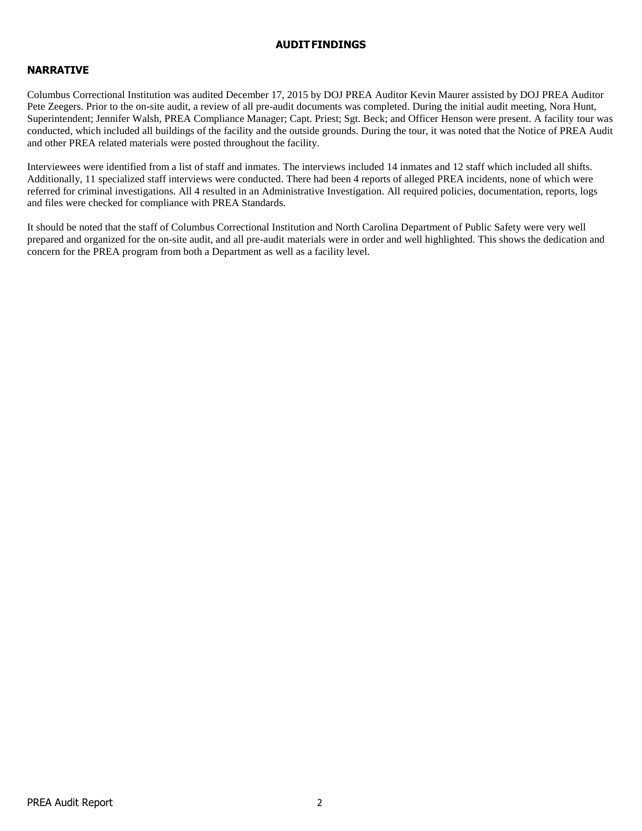### **AUDITFINDINGS**

# **NARRATIVE**

Columbus Correctional Institution was audited December 17, 2015 by DOJ PREA Auditor Kevin Maurer assisted by DOJ PREA Auditor Pete Zeegers. Prior to the on-site audit, a review of all pre-audit documents was completed. During the initial audit meeting, Nora Hunt, Superintendent; Jennifer Walsh, PREA Compliance Manager; Capt. Priest; Sgt. Beck; and Officer Henson were present. A facility tour was conducted, which included all buildings of the facility and the outside grounds. During the tour, it was noted that the Notice of PREA Audit and other PREA related materials were posted throughout the facility.

Interviewees were identified from a list of staff and inmates. The interviews included 14 inmates and 12 staff which included all shifts. Additionally, 11 specialized staff interviews were conducted. There had been 4 reports of alleged PREA incidents, none of which were referred for criminal investigations. All 4 resulted in an Administrative Investigation. All required policies, documentation, reports, logs and files were checked for compliance with PREA Standards.

It should be noted that the staff of Columbus Correctional Institution and North Carolina Department of Public Safety were very well prepared and organized for the on-site audit, and all pre-audit materials were in order and well highlighted. This shows the dedication and concern for the PREA program from both a Department as well as a facility level.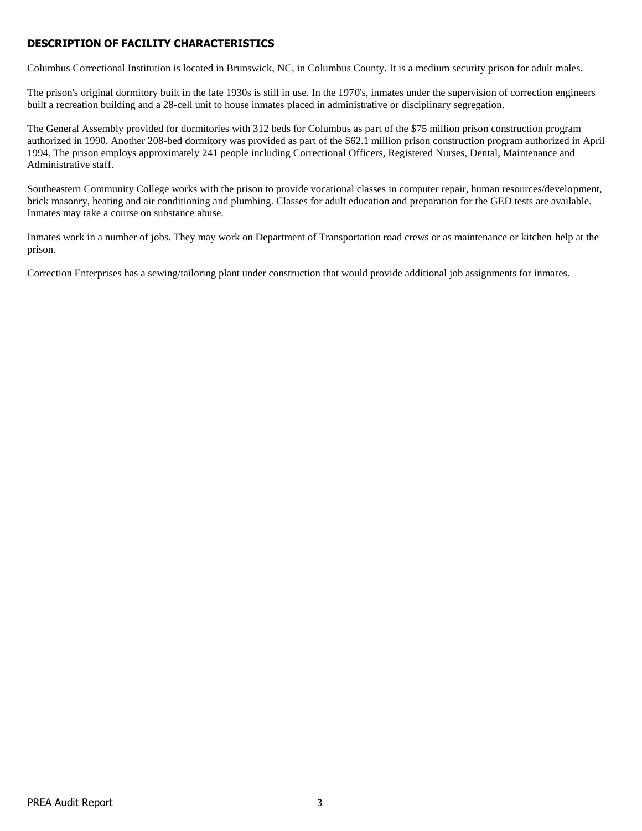# **DESCRIPTION OF FACILITY CHARACTERISTICS**

Columbus Correctional Institution is located in Brunswick, NC, in Columbus County. It is a medium security prison for adult males.

The prison's original dormitory built in the late 1930s is still in use. In the 1970's, inmates under the supervision of correction engineers built a recreation building and a 28-cell unit to house inmates placed in administrative or disciplinary segregation.

The General Assembly provided for dormitories with 312 beds for Columbus as part of the \$75 million prison construction program authorized in 1990. Another 208-bed dormitory was provided as part of the \$62.1 million prison construction program authorized in April 1994. The prison employs approximately 241 people including Correctional Officers, Registered Nurses, Dental, Maintenance and Administrative staff.

Southeastern Community College works with the prison to provide vocational classes in computer repair, human resources/development, brick masonry, heating and air conditioning and plumbing. Classes for adult education and preparation for the GED tests are available. Inmates may take a course on substance abuse.

Inmates work in a number of jobs. They may work on Department of Transportation road crews or as maintenance or kitchen help at the prison.

Correction Enterprises has a sewing/tailoring plant under construction that would provide additional job assignments for inmates.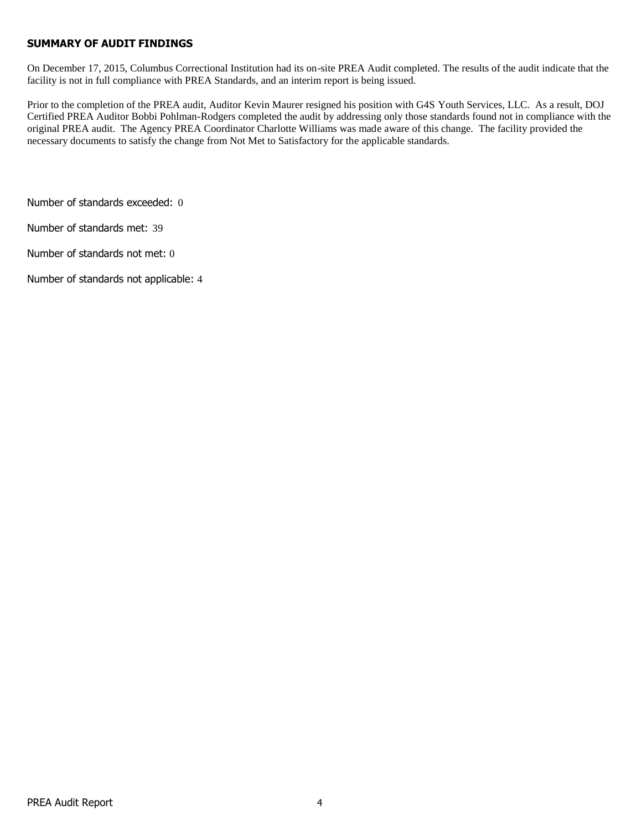# **SUMMARY OF AUDIT FINDINGS**

On December 17, 2015, Columbus Correctional Institution had its on-site PREA Audit completed. The results of the audit indicate that the facility is not in full compliance with PREA Standards, and an interim report is being issued.

Prior to the completion of the PREA audit, Auditor Kevin Maurer resigned his position with G4S Youth Services, LLC. As a result, DOJ Certified PREA Auditor Bobbi Pohlman-Rodgers completed the audit by addressing only those standards found not in compliance with the original PREA audit. The Agency PREA Coordinator Charlotte Williams was made aware of this change. The facility provided the necessary documents to satisfy the change from Not Met to Satisfactory for the applicable standards.

Number of standards exceeded: 0

Number of standards met: 39

Number of standards not met: 0

Number of standards not applicable: 4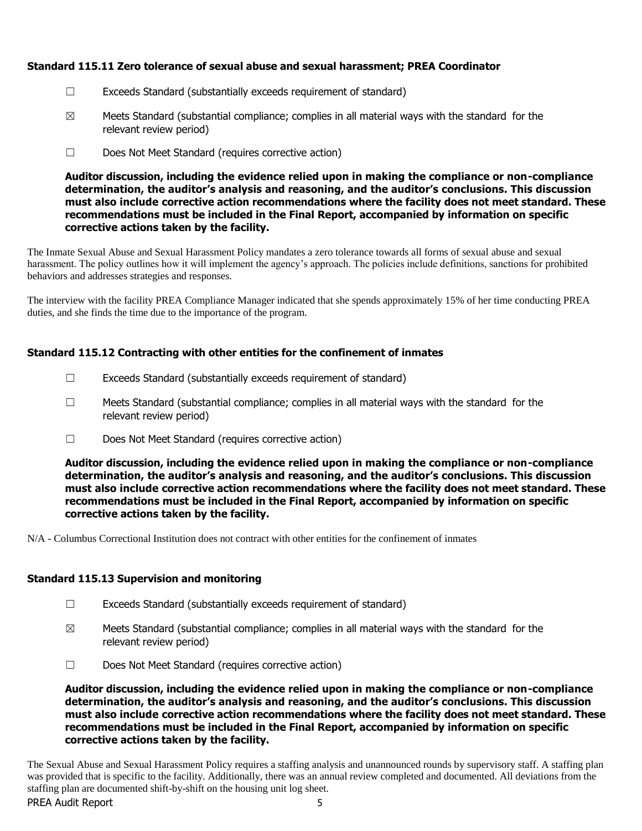# **Standard 115.11 Zero tolerance of sexual abuse and sexual harassment; PREA Coordinator**

- ☐ Exceeds Standard (substantially exceeds requirement of standard)
- $\boxtimes$  Meets Standard (substantial compliance; complies in all material ways with the standard for the relevant review period)
- ☐ Does Not Meet Standard (requires corrective action)

**Auditor discussion, including the evidence relied upon in making the compliance or non-compliance determination, the auditor's analysis and reasoning, and the auditor's conclusions. This discussion must also include corrective action recommendations where the facility does not meet standard. These recommendations must be included in the Final Report, accompanied by information on specific corrective actions taken by the facility.**

The Inmate Sexual Abuse and Sexual Harassment Policy mandates a zero tolerance towards all forms of sexual abuse and sexual harassment. The policy outlines how it will implement the agency's approach. The policies include definitions, sanctions for prohibited behaviors and addresses strategies and responses.

The interview with the facility PREA Compliance Manager indicated that she spends approximately 15% of her time conducting PREA duties, and she finds the time due to the importance of the program.

# **Standard 115.12 Contracting with other entities for the confinement of inmates**

- $\Box$  Exceeds Standard (substantially exceeds requirement of standard)
- $\Box$  Meets Standard (substantial compliance; complies in all material ways with the standard for the relevant review period)
- ☐ Does Not Meet Standard (requires corrective action)

**Auditor discussion, including the evidence relied upon in making the compliance or non-compliance determination, the auditor's analysis and reasoning, and the auditor's conclusions. This discussion must also include corrective action recommendations where the facility does not meet standard. These recommendations must be included in the Final Report, accompanied by information on specific corrective actions taken by the facility.**

N/A - Columbus Correctional Institution does not contract with other entities for the confinement of inmates

# **Standard 115.13 Supervision and monitoring**

- $\Box$  Exceeds Standard (substantially exceeds requirement of standard)
- $\boxtimes$  Meets Standard (substantial compliance; complies in all material ways with the standard for the relevant review period)
- ☐ Does Not Meet Standard (requires corrective action)

**Auditor discussion, including the evidence relied upon in making the compliance or non-compliance determination, the auditor's analysis and reasoning, and the auditor's conclusions. This discussion must also include corrective action recommendations where the facility does not meet standard. These recommendations must be included in the Final Report, accompanied by information on specific corrective actions taken by the facility.**

PREA Audit Report The Sexual Abuse and Sexual Harassment Policy requires a staffing analysis and unannounced rounds by supervisory staff. A staffing plan was provided that is specific to the facility. Additionally, there was an annual review completed and documented. All deviations from the staffing plan are documented shift-by-shift on the housing unit log sheet.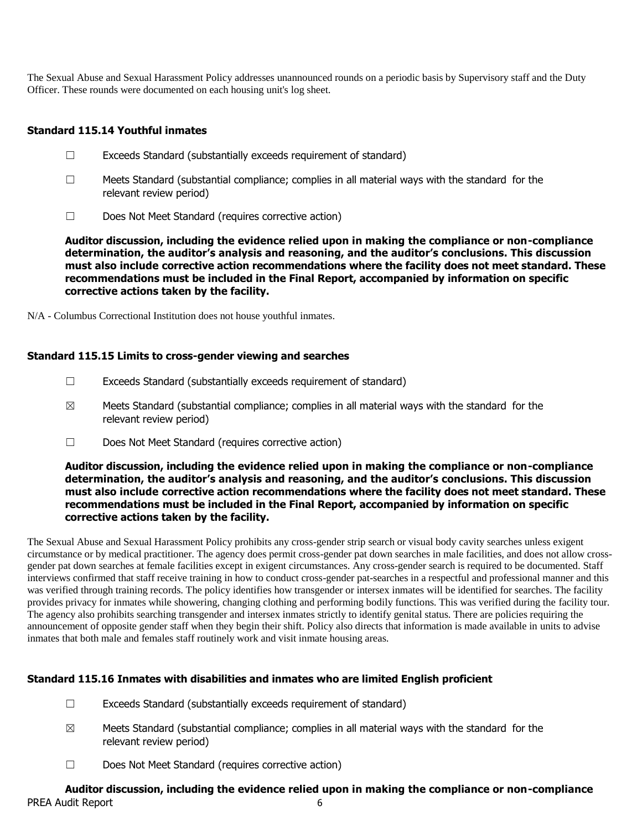The Sexual Abuse and Sexual Harassment Policy addresses unannounced rounds on a periodic basis by Supervisory staff and the Duty Officer. These rounds were documented on each housing unit's log sheet.

# **Standard 115.14 Youthful inmates**

- ☐ Exceeds Standard (substantially exceeds requirement of standard)
- $\Box$  Meets Standard (substantial compliance; complies in all material ways with the standard for the relevant review period)
- ☐ Does Not Meet Standard (requires corrective action)

**Auditor discussion, including the evidence relied upon in making the compliance or non-compliance determination, the auditor's analysis and reasoning, and the auditor's conclusions. This discussion must also include corrective action recommendations where the facility does not meet standard. These recommendations must be included in the Final Report, accompanied by information on specific corrective actions taken by the facility.**

N/A - Columbus Correctional Institution does not house youthful inmates.

# **Standard 115.15 Limits to cross-gender viewing and searches**

- ☐ Exceeds Standard (substantially exceeds requirement of standard)
- $\boxtimes$  Meets Standard (substantial compliance; complies in all material ways with the standard for the relevant review period)
- ☐ Does Not Meet Standard (requires corrective action)

**Auditor discussion, including the evidence relied upon in making the compliance or non-compliance determination, the auditor's analysis and reasoning, and the auditor's conclusions. This discussion must also include corrective action recommendations where the facility does not meet standard. These recommendations must be included in the Final Report, accompanied by information on specific corrective actions taken by the facility.**

The Sexual Abuse and Sexual Harassment Policy prohibits any cross-gender strip search or visual body cavity searches unless exigent circumstance or by medical practitioner. The agency does permit cross-gender pat down searches in male facilities, and does not allow crossgender pat down searches at female facilities except in exigent circumstances. Any cross-gender search is required to be documented. Staff interviews confirmed that staff receive training in how to conduct cross-gender pat-searches in a respectful and professional manner and this was verified through training records. The policy identifies how transgender or intersex inmates will be identified for searches. The facility provides privacy for inmates while showering, changing clothing and performing bodily functions. This was verified during the facility tour. The agency also prohibits searching transgender and intersex inmates strictly to identify genital status. There are policies requiring the announcement of opposite gender staff when they begin their shift. Policy also directs that information is made available in units to advise inmates that both male and females staff routinely work and visit inmate housing areas.

# **Standard 115.16 Inmates with disabilities and inmates who are limited English proficient**

- ☐ Exceeds Standard (substantially exceeds requirement of standard)
- $\boxtimes$  Meets Standard (substantial compliance; complies in all material ways with the standard for the relevant review period)
- ☐ Does Not Meet Standard (requires corrective action)

# PREA Audit Report 6 **Auditor discussion, including the evidence relied upon in making the compliance or non-compliance**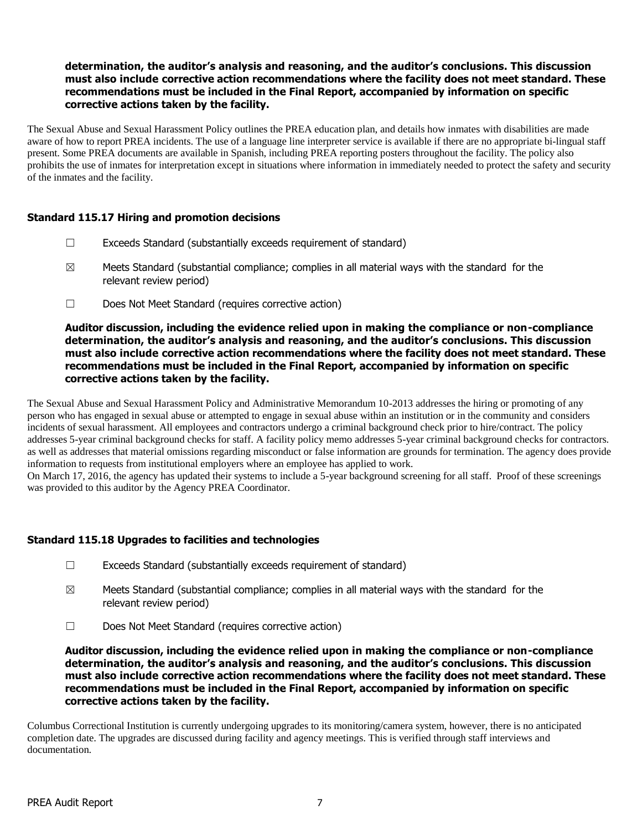# **determination, the auditor's analysis and reasoning, and the auditor's conclusions. This discussion must also include corrective action recommendations where the facility does not meet standard. These recommendations must be included in the Final Report, accompanied by information on specific corrective actions taken by the facility.**

The Sexual Abuse and Sexual Harassment Policy outlines the PREA education plan, and details how inmates with disabilities are made aware of how to report PREA incidents. The use of a language line interpreter service is available if there are no appropriate bi-lingual staff present. Some PREA documents are available in Spanish, including PREA reporting posters throughout the facility. The policy also prohibits the use of inmates for interpretation except in situations where information in immediately needed to protect the safety and security of the inmates and the facility.

# **Standard 115.17 Hiring and promotion decisions**

- $\Box$  Exceeds Standard (substantially exceeds requirement of standard)
- $\boxtimes$  Meets Standard (substantial compliance; complies in all material ways with the standard for the relevant review period)
- ☐ Does Not Meet Standard (requires corrective action)

#### **Auditor discussion, including the evidence relied upon in making the compliance or non-compliance determination, the auditor's analysis and reasoning, and the auditor's conclusions. This discussion must also include corrective action recommendations where the facility does not meet standard. These recommendations must be included in the Final Report, accompanied by information on specific corrective actions taken by the facility.**

The Sexual Abuse and Sexual Harassment Policy and Administrative Memorandum 10-2013 addresses the hiring or promoting of any person who has engaged in sexual abuse or attempted to engage in sexual abuse within an institution or in the community and considers incidents of sexual harassment. All employees and contractors undergo a criminal background check prior to hire/contract. The policy addresses 5-year criminal background checks for staff. A facility policy memo addresses 5-year criminal background checks for contractors. as well as addresses that material omissions regarding misconduct or false information are grounds for termination. The agency does provide information to requests from institutional employers where an employee has applied to work.

On March 17, 2016, the agency has updated their systems to include a 5-year background screening for all staff. Proof of these screenings was provided to this auditor by the Agency PREA Coordinator.

# **Standard 115.18 Upgrades to facilities and technologies**

- ☐ Exceeds Standard (substantially exceeds requirement of standard)
- $\boxtimes$  Meets Standard (substantial compliance; complies in all material ways with the standard for the relevant review period)
- ☐ Does Not Meet Standard (requires corrective action)

**Auditor discussion, including the evidence relied upon in making the compliance or non-compliance determination, the auditor's analysis and reasoning, and the auditor's conclusions. This discussion must also include corrective action recommendations where the facility does not meet standard. These recommendations must be included in the Final Report, accompanied by information on specific corrective actions taken by the facility.**

Columbus Correctional Institution is currently undergoing upgrades to its monitoring/camera system, however, there is no anticipated completion date. The upgrades are discussed during facility and agency meetings. This is verified through staff interviews and documentation.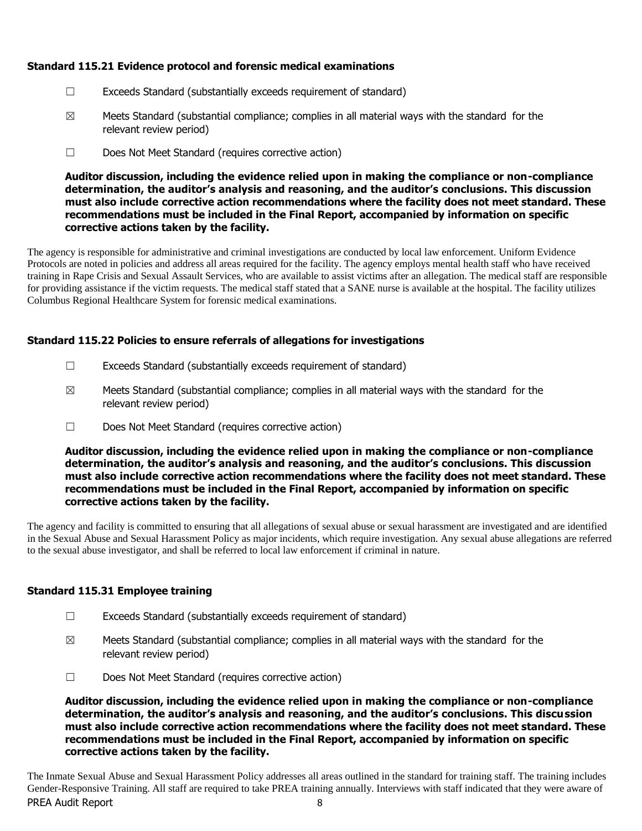# **Standard 115.21 Evidence protocol and forensic medical examinations**

- ☐ Exceeds Standard (substantially exceeds requirement of standard)
- $\boxtimes$  Meets Standard (substantial compliance; complies in all material ways with the standard for the relevant review period)
- ☐ Does Not Meet Standard (requires corrective action)

**Auditor discussion, including the evidence relied upon in making the compliance or non-compliance determination, the auditor's analysis and reasoning, and the auditor's conclusions. This discussion must also include corrective action recommendations where the facility does not meet standard. These recommendations must be included in the Final Report, accompanied by information on specific corrective actions taken by the facility.**

The agency is responsible for administrative and criminal investigations are conducted by local law enforcement. Uniform Evidence Protocols are noted in policies and address all areas required for the facility. The agency employs mental health staff who have received training in Rape Crisis and Sexual Assault Services, who are available to assist victims after an allegation. The medical staff are responsible for providing assistance if the victim requests. The medical staff stated that a SANE nurse is available at the hospital. The facility utilizes Columbus Regional Healthcare System for forensic medical examinations.

# **Standard 115.22 Policies to ensure referrals of allegations for investigations**

- $\Box$  Exceeds Standard (substantially exceeds requirement of standard)
- $\boxtimes$  Meets Standard (substantial compliance; complies in all material ways with the standard for the relevant review period)
- ☐ Does Not Meet Standard (requires corrective action)

**Auditor discussion, including the evidence relied upon in making the compliance or non-compliance determination, the auditor's analysis and reasoning, and the auditor's conclusions. This discussion must also include corrective action recommendations where the facility does not meet standard. These recommendations must be included in the Final Report, accompanied by information on specific corrective actions taken by the facility.**

The agency and facility is committed to ensuring that all allegations of sexual abuse or sexual harassment are investigated and are identified in the Sexual Abuse and Sexual Harassment Policy as major incidents, which require investigation. Any sexual abuse allegations are referred to the sexual abuse investigator, and shall be referred to local law enforcement if criminal in nature.

# **Standard 115.31 Employee training**

- $\Box$  Exceeds Standard (substantially exceeds requirement of standard)
- $\boxtimes$  Meets Standard (substantial compliance; complies in all material ways with the standard for the relevant review period)
- ☐ Does Not Meet Standard (requires corrective action)

**Auditor discussion, including the evidence relied upon in making the compliance or non-compliance determination, the auditor's analysis and reasoning, and the auditor's conclusions. This discussion must also include corrective action recommendations where the facility does not meet standard. These recommendations must be included in the Final Report, accompanied by information on specific corrective actions taken by the facility.**

PREA Audit Report 8 The Inmate Sexual Abuse and Sexual Harassment Policy addresses all areas outlined in the standard for training staff. The training includes Gender-Responsive Training. All staff are required to take PREA training annually. Interviews with staff indicated that they were aware of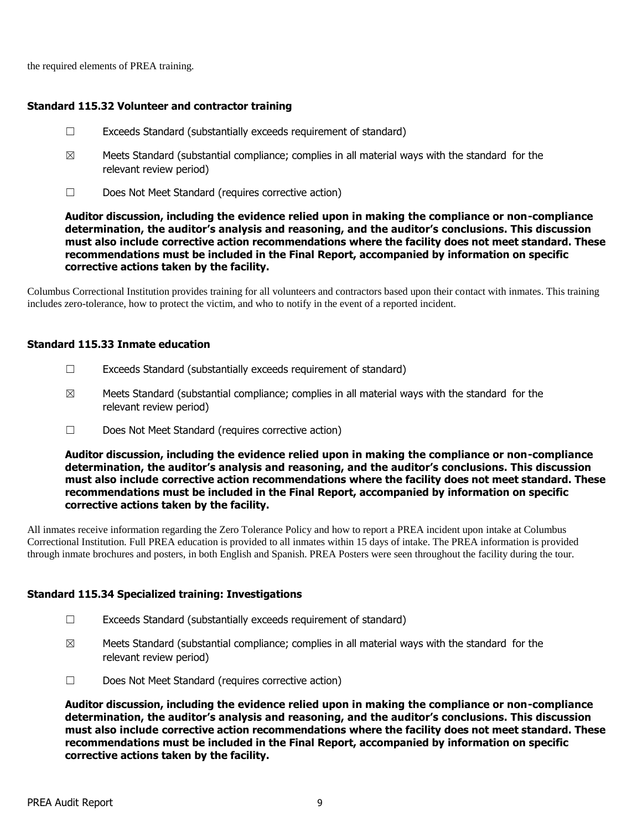the required elements of PREA training.

### **Standard 115.32 Volunteer and contractor training**

- $\Box$  Exceeds Standard (substantially exceeds requirement of standard)
- $\boxtimes$  Meets Standard (substantial compliance; complies in all material ways with the standard for the relevant review period)
- ☐ Does Not Meet Standard (requires corrective action)

**Auditor discussion, including the evidence relied upon in making the compliance or non-compliance determination, the auditor's analysis and reasoning, and the auditor's conclusions. This discussion must also include corrective action recommendations where the facility does not meet standard. These recommendations must be included in the Final Report, accompanied by information on specific corrective actions taken by the facility.**

Columbus Correctional Institution provides training for all volunteers and contractors based upon their contact with inmates. This training includes zero-tolerance, how to protect the victim, and who to notify in the event of a reported incident.

#### **Standard 115.33 Inmate education**

- ☐ Exceeds Standard (substantially exceeds requirement of standard)
- $\boxtimes$  Meets Standard (substantial compliance; complies in all material ways with the standard for the relevant review period)
- ☐ Does Not Meet Standard (requires corrective action)

**Auditor discussion, including the evidence relied upon in making the compliance or non-compliance determination, the auditor's analysis and reasoning, and the auditor's conclusions. This discussion must also include corrective action recommendations where the facility does not meet standard. These recommendations must be included in the Final Report, accompanied by information on specific corrective actions taken by the facility.**

All inmates receive information regarding the Zero Tolerance Policy and how to report a PREA incident upon intake at Columbus Correctional Institution. Full PREA education is provided to all inmates within 15 days of intake. The PREA information is provided through inmate brochures and posters, in both English and Spanish. PREA Posters were seen throughout the facility during the tour.

#### **Standard 115.34 Specialized training: Investigations**

- ☐ Exceeds Standard (substantially exceeds requirement of standard)
- $\boxtimes$  Meets Standard (substantial compliance; complies in all material ways with the standard for the relevant review period)
- ☐ Does Not Meet Standard (requires corrective action)

**Auditor discussion, including the evidence relied upon in making the compliance or non-compliance determination, the auditor's analysis and reasoning, and the auditor's conclusions. This discussion must also include corrective action recommendations where the facility does not meet standard. These recommendations must be included in the Final Report, accompanied by information on specific corrective actions taken by the facility.**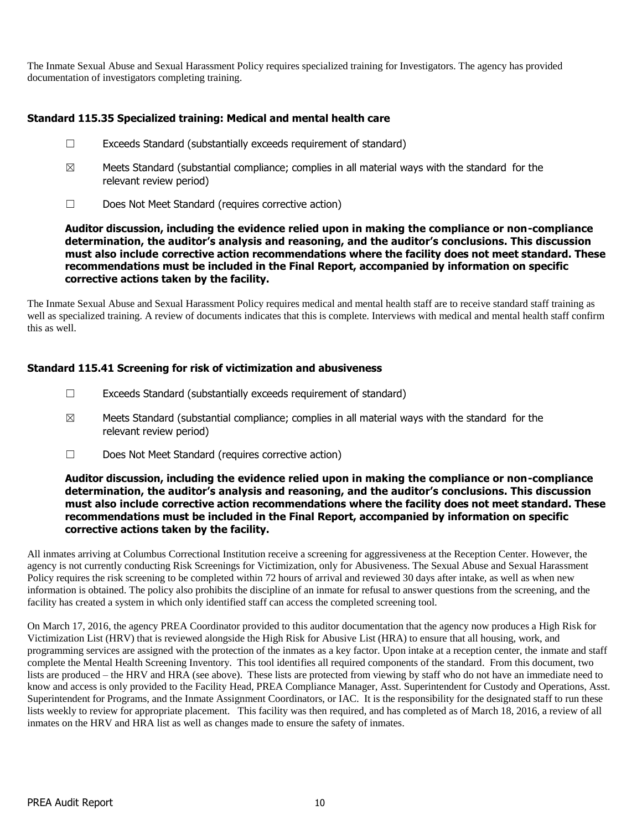The Inmate Sexual Abuse and Sexual Harassment Policy requires specialized training for Investigators. The agency has provided documentation of investigators completing training.

# **Standard 115.35 Specialized training: Medical and mental health care**

- ☐ Exceeds Standard (substantially exceeds requirement of standard)
- $\boxtimes$  Meets Standard (substantial compliance; complies in all material ways with the standard for the relevant review period)
- ☐ Does Not Meet Standard (requires corrective action)

**Auditor discussion, including the evidence relied upon in making the compliance or non-compliance determination, the auditor's analysis and reasoning, and the auditor's conclusions. This discussion must also include corrective action recommendations where the facility does not meet standard. These recommendations must be included in the Final Report, accompanied by information on specific corrective actions taken by the facility.**

The Inmate Sexual Abuse and Sexual Harassment Policy requires medical and mental health staff are to receive standard staff training as well as specialized training. A review of documents indicates that this is complete. Interviews with medical and mental health staff confirm this as well.

# **Standard 115.41 Screening for risk of victimization and abusiveness**

- $\Box$  Exceeds Standard (substantially exceeds requirement of standard)
- $\boxtimes$  Meets Standard (substantial compliance; complies in all material ways with the standard for the relevant review period)
- ☐ Does Not Meet Standard (requires corrective action)

### **Auditor discussion, including the evidence relied upon in making the compliance or non-compliance determination, the auditor's analysis and reasoning, and the auditor's conclusions. This discussion must also include corrective action recommendations where the facility does not meet standard. These recommendations must be included in the Final Report, accompanied by information on specific corrective actions taken by the facility.**

All inmates arriving at Columbus Correctional Institution receive a screening for aggressiveness at the Reception Center. However, the agency is not currently conducting Risk Screenings for Victimization, only for Abusiveness. The Sexual Abuse and Sexual Harassment Policy requires the risk screening to be completed within 72 hours of arrival and reviewed 30 days after intake, as well as when new information is obtained. The policy also prohibits the discipline of an inmate for refusal to answer questions from the screening, and the facility has created a system in which only identified staff can access the completed screening tool.

On March 17, 2016, the agency PREA Coordinator provided to this auditor documentation that the agency now produces a High Risk for Victimization List (HRV) that is reviewed alongside the High Risk for Abusive List (HRA) to ensure that all housing, work, and programming services are assigned with the protection of the inmates as a key factor. Upon intake at a reception center, the inmate and staff complete the Mental Health Screening Inventory. This tool identifies all required components of the standard. From this document, two lists are produced – the HRV and HRA (see above). These lists are protected from viewing by staff who do not have an immediate need to know and access is only provided to the Facility Head, PREA Compliance Manager, Asst. Superintendent for Custody and Operations, Asst. Superintendent for Programs, and the Inmate Assignment Coordinators, or IAC. It is the responsibility for the designated staff to run these lists weekly to review for appropriate placement. This facility was then required, and has completed as of March 18, 2016, a review of all inmates on the HRV and HRA list as well as changes made to ensure the safety of inmates.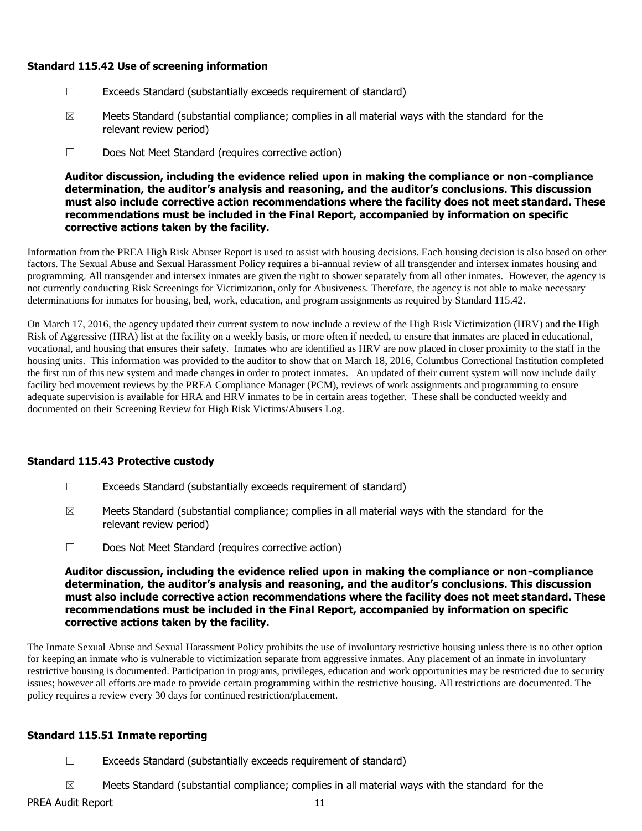### **Standard 115.42 Use of screening information**

- ☐ Exceeds Standard (substantially exceeds requirement of standard)
- $\boxtimes$  Meets Standard (substantial compliance; complies in all material ways with the standard for the relevant review period)
- ☐ Does Not Meet Standard (requires corrective action)

**Auditor discussion, including the evidence relied upon in making the compliance or non-compliance determination, the auditor's analysis and reasoning, and the auditor's conclusions. This discussion must also include corrective action recommendations where the facility does not meet standard. These recommendations must be included in the Final Report, accompanied by information on specific corrective actions taken by the facility.**

Information from the PREA High Risk Abuser Report is used to assist with housing decisions. Each housing decision is also based on other factors. The Sexual Abuse and Sexual Harassment Policy requires a bi-annual review of all transgender and intersex inmates housing and programming. All transgender and intersex inmates are given the right to shower separately from all other inmates. However, the agency is not currently conducting Risk Screenings for Victimization, only for Abusiveness. Therefore, the agency is not able to make necessary determinations for inmates for housing, bed, work, education, and program assignments as required by Standard 115.42.

On March 17, 2016, the agency updated their current system to now include a review of the High Risk Victimization (HRV) and the High Risk of Aggressive (HRA) list at the facility on a weekly basis, or more often if needed, to ensure that inmates are placed in educational, vocational, and housing that ensures their safety. Inmates who are identified as HRV are now placed in closer proximity to the staff in the housing units. This information was provided to the auditor to show that on March 18, 2016, Columbus Correctional Institution completed the first run of this new system and made changes in order to protect inmates. An updated of their current system will now include daily facility bed movement reviews by the PREA Compliance Manager (PCM), reviews of work assignments and programming to ensure adequate supervision is available for HRA and HRV inmates to be in certain areas together. These shall be conducted weekly and documented on their Screening Review for High Risk Victims/Abusers Log.

# **Standard 115.43 Protective custody**

- ☐ Exceeds Standard (substantially exceeds requirement of standard)
- $\boxtimes$  Meets Standard (substantial compliance; complies in all material ways with the standard for the relevant review period)
- ☐ Does Not Meet Standard (requires corrective action)

**Auditor discussion, including the evidence relied upon in making the compliance or non-compliance determination, the auditor's analysis and reasoning, and the auditor's conclusions. This discussion must also include corrective action recommendations where the facility does not meet standard. These recommendations must be included in the Final Report, accompanied by information on specific corrective actions taken by the facility.**

The Inmate Sexual Abuse and Sexual Harassment Policy prohibits the use of involuntary restrictive housing unless there is no other option for keeping an inmate who is vulnerable to victimization separate from aggressive inmates. Any placement of an inmate in involuntary restrictive housing is documented. Participation in programs, privileges, education and work opportunities may be restricted due to security issues; however all efforts are made to provide certain programming within the restrictive housing. All restrictions are documented. The policy requires a review every 30 days for continued restriction/placement.

# **Standard 115.51 Inmate reporting**

- $\Box$  Exceeds Standard (substantially exceeds requirement of standard)
- $\boxtimes$  Meets Standard (substantial compliance; complies in all material ways with the standard for the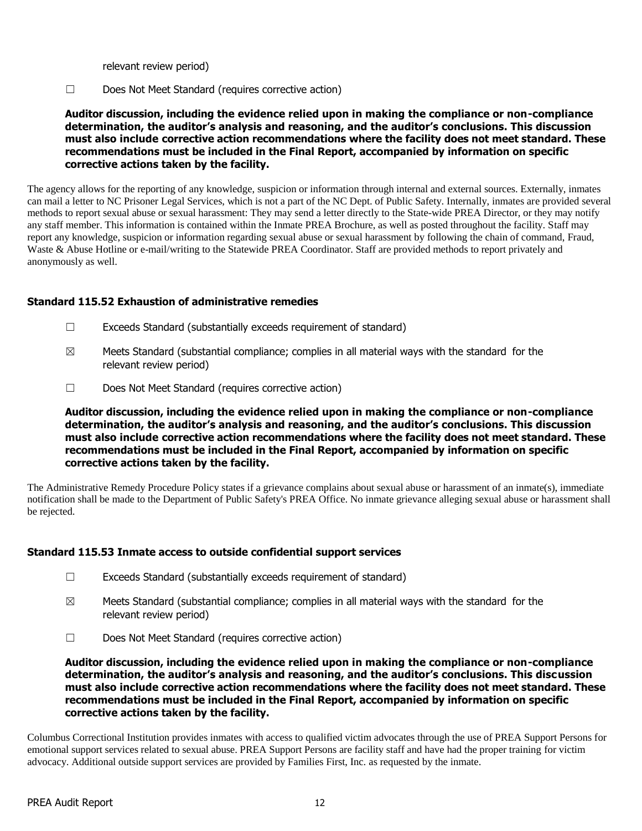relevant review period)

☐ Does Not Meet Standard (requires corrective action)

**Auditor discussion, including the evidence relied upon in making the compliance or non-compliance determination, the auditor's analysis and reasoning, and the auditor's conclusions. This discussion must also include corrective action recommendations where the facility does not meet standard. These recommendations must be included in the Final Report, accompanied by information on specific corrective actions taken by the facility.**

The agency allows for the reporting of any knowledge, suspicion or information through internal and external sources. Externally, inmates can mail a letter to NC Prisoner Legal Services, which is not a part of the NC Dept. of Public Safety. Internally, inmates are provided several methods to report sexual abuse or sexual harassment: They may send a letter directly to the State-wide PREA Director, or they may notify any staff member. This information is contained within the Inmate PREA Brochure, as well as posted throughout the facility. Staff may report any knowledge, suspicion or information regarding sexual abuse or sexual harassment by following the chain of command, Fraud, Waste & Abuse Hotline or e-mail/writing to the Statewide PREA Coordinator. Staff are provided methods to report privately and anonymously as well.

#### **Standard 115.52 Exhaustion of administrative remedies**

- ☐ Exceeds Standard (substantially exceeds requirement of standard)
- $\boxtimes$  Meets Standard (substantial compliance; complies in all material ways with the standard for the relevant review period)
- ☐ Does Not Meet Standard (requires corrective action)

**Auditor discussion, including the evidence relied upon in making the compliance or non-compliance determination, the auditor's analysis and reasoning, and the auditor's conclusions. This discussion must also include corrective action recommendations where the facility does not meet standard. These recommendations must be included in the Final Report, accompanied by information on specific corrective actions taken by the facility.**

The Administrative Remedy Procedure Policy states if a grievance complains about sexual abuse or harassment of an inmate(s), immediate notification shall be made to the Department of Public Safety's PREA Office. No inmate grievance alleging sexual abuse or harassment shall be rejected.

# **Standard 115.53 Inmate access to outside confidential support services**

- ☐ Exceeds Standard (substantially exceeds requirement of standard)
- $\boxtimes$  Meets Standard (substantial compliance; complies in all material ways with the standard for the relevant review period)
- ☐ Does Not Meet Standard (requires corrective action)

**Auditor discussion, including the evidence relied upon in making the compliance or non-compliance determination, the auditor's analysis and reasoning, and the auditor's conclusions. This discussion must also include corrective action recommendations where the facility does not meet standard. These recommendations must be included in the Final Report, accompanied by information on specific corrective actions taken by the facility.**

Columbus Correctional Institution provides inmates with access to qualified victim advocates through the use of PREA Support Persons for emotional support services related to sexual abuse. PREA Support Persons are facility staff and have had the proper training for victim advocacy. Additional outside support services are provided by Families First, Inc. as requested by the inmate.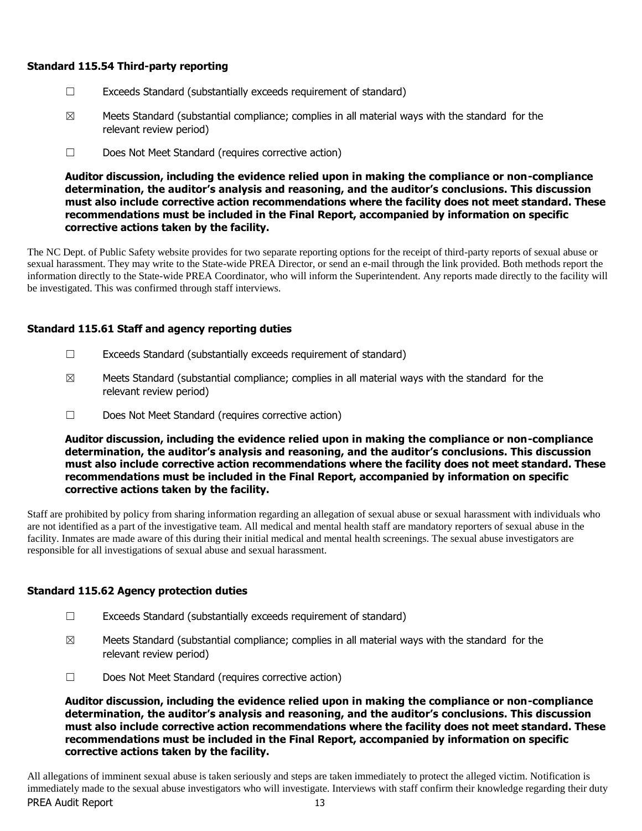# **Standard 115.54 Third-party reporting**

- ☐ Exceeds Standard (substantially exceeds requirement of standard)
- $\boxtimes$  Meets Standard (substantial compliance; complies in all material ways with the standard for the relevant review period)
- ☐ Does Not Meet Standard (requires corrective action)

**Auditor discussion, including the evidence relied upon in making the compliance or non-compliance determination, the auditor's analysis and reasoning, and the auditor's conclusions. This discussion must also include corrective action recommendations where the facility does not meet standard. These recommendations must be included in the Final Report, accompanied by information on specific corrective actions taken by the facility.**

The NC Dept. of Public Safety website provides for two separate reporting options for the receipt of third-party reports of sexual abuse or sexual harassment. They may write to the State-wide PREA Director, or send an e-mail through the link provided. Both methods report the information directly to the State-wide PREA Coordinator, who will inform the Superintendent. Any reports made directly to the facility will be investigated. This was confirmed through staff interviews.

# **Standard 115.61 Staff and agency reporting duties**

- $\Box$  Exceeds Standard (substantially exceeds requirement of standard)
- $\boxtimes$  Meets Standard (substantial compliance; complies in all material ways with the standard for the relevant review period)
- ☐ Does Not Meet Standard (requires corrective action)

**Auditor discussion, including the evidence relied upon in making the compliance or non-compliance determination, the auditor's analysis and reasoning, and the auditor's conclusions. This discussion must also include corrective action recommendations where the facility does not meet standard. These recommendations must be included in the Final Report, accompanied by information on specific corrective actions taken by the facility.**

Staff are prohibited by policy from sharing information regarding an allegation of sexual abuse or sexual harassment with individuals who are not identified as a part of the investigative team. All medical and mental health staff are mandatory reporters of sexual abuse in the facility. Inmates are made aware of this during their initial medical and mental health screenings. The sexual abuse investigators are responsible for all investigations of sexual abuse and sexual harassment.

# **Standard 115.62 Agency protection duties**

- ☐ Exceeds Standard (substantially exceeds requirement of standard)
- $\boxtimes$  Meets Standard (substantial compliance; complies in all material ways with the standard for the relevant review period)
- ☐ Does Not Meet Standard (requires corrective action)

**Auditor discussion, including the evidence relied upon in making the compliance or non-compliance determination, the auditor's analysis and reasoning, and the auditor's conclusions. This discussion must also include corrective action recommendations where the facility does not meet standard. These recommendations must be included in the Final Report, accompanied by information on specific corrective actions taken by the facility.**

PREA Audit Report 13 All allegations of imminent sexual abuse is taken seriously and steps are taken immediately to protect the alleged victim. Notification is immediately made to the sexual abuse investigators who will investigate. Interviews with staff confirm their knowledge regarding their duty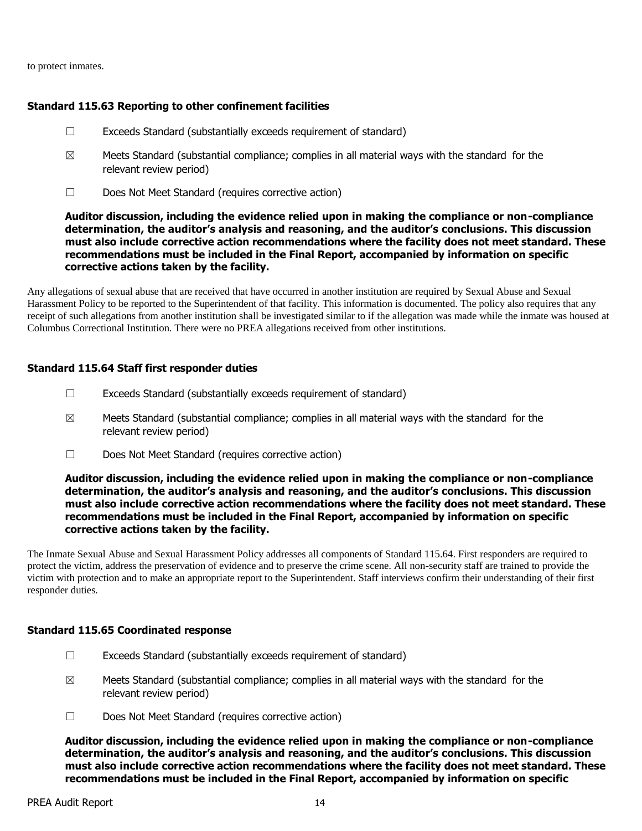to protect inmates.

#### **Standard 115.63 Reporting to other confinement facilities**

- $\Box$  Exceeds Standard (substantially exceeds requirement of standard)
- $\boxtimes$  Meets Standard (substantial compliance; complies in all material ways with the standard for the relevant review period)
- ☐ Does Not Meet Standard (requires corrective action)

#### **Auditor discussion, including the evidence relied upon in making the compliance or non-compliance determination, the auditor's analysis and reasoning, and the auditor's conclusions. This discussion must also include corrective action recommendations where the facility does not meet standard. These recommendations must be included in the Final Report, accompanied by information on specific corrective actions taken by the facility.**

Any allegations of sexual abuse that are received that have occurred in another institution are required by Sexual Abuse and Sexual Harassment Policy to be reported to the Superintendent of that facility. This information is documented. The policy also requires that any receipt of such allegations from another institution shall be investigated similar to if the allegation was made while the inmate was housed at Columbus Correctional Institution. There were no PREA allegations received from other institutions.

#### **Standard 115.64 Staff first responder duties**

- $\Box$  Exceeds Standard (substantially exceeds requirement of standard)
- $\boxtimes$  Meets Standard (substantial compliance; complies in all material ways with the standard for the relevant review period)
- ☐ Does Not Meet Standard (requires corrective action)

#### **Auditor discussion, including the evidence relied upon in making the compliance or non-compliance determination, the auditor's analysis and reasoning, and the auditor's conclusions. This discussion must also include corrective action recommendations where the facility does not meet standard. These recommendations must be included in the Final Report, accompanied by information on specific corrective actions taken by the facility.**

The Inmate Sexual Abuse and Sexual Harassment Policy addresses all components of Standard 115.64. First responders are required to protect the victim, address the preservation of evidence and to preserve the crime scene. All non-security staff are trained to provide the victim with protection and to make an appropriate report to the Superintendent. Staff interviews confirm their understanding of their first responder duties.

#### **Standard 115.65 Coordinated response**

- ☐ Exceeds Standard (substantially exceeds requirement of standard)
- $\boxtimes$  Meets Standard (substantial compliance; complies in all material ways with the standard for the relevant review period)
- ☐ Does Not Meet Standard (requires corrective action)

**Auditor discussion, including the evidence relied upon in making the compliance or non-compliance determination, the auditor's analysis and reasoning, and the auditor's conclusions. This discussion must also include corrective action recommendations where the facility does not meet standard. These recommendations must be included in the Final Report, accompanied by information on specific**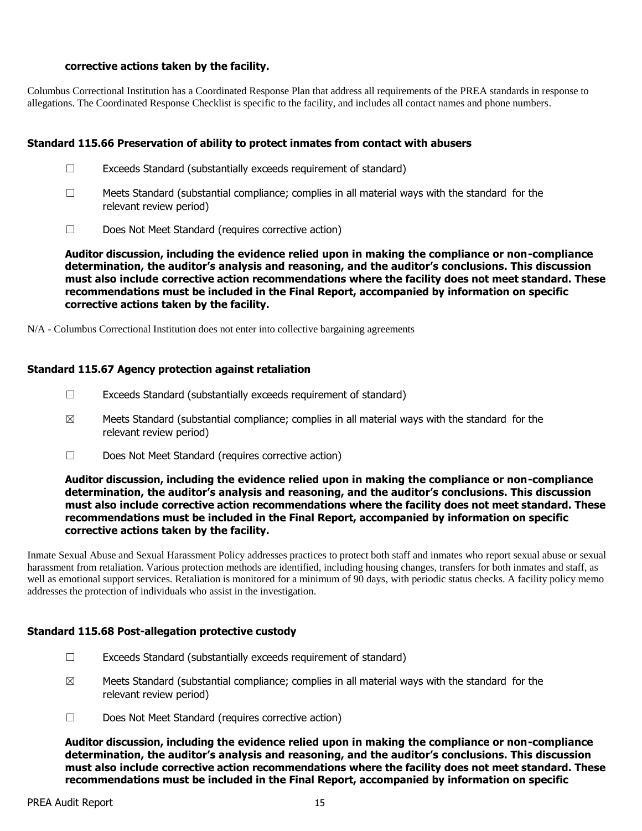### **corrective actions taken by the facility.**

Columbus Correctional Institution has a Coordinated Response Plan that address all requirements of the PREA standards in response to allegations. The Coordinated Response Checklist is specific to the facility, and includes all contact names and phone numbers.

# **Standard 115.66 Preservation of ability to protect inmates from contact with abusers**

- $\Box$  Exceeds Standard (substantially exceeds requirement of standard)
- $\Box$  Meets Standard (substantial compliance; complies in all material ways with the standard for the relevant review period)
- ☐ Does Not Meet Standard (requires corrective action)

**Auditor discussion, including the evidence relied upon in making the compliance or non-compliance determination, the auditor's analysis and reasoning, and the auditor's conclusions. This discussion must also include corrective action recommendations where the facility does not meet standard. These recommendations must be included in the Final Report, accompanied by information on specific corrective actions taken by the facility.**

N/A - Columbus Correctional Institution does not enter into collective bargaining agreements

# **Standard 115.67 Agency protection against retaliation**

- $\Box$  Exceeds Standard (substantially exceeds requirement of standard)
- $\boxtimes$  Meets Standard (substantial compliance; complies in all material ways with the standard for the relevant review period)
- ☐ Does Not Meet Standard (requires corrective action)

### **Auditor discussion, including the evidence relied upon in making the compliance or non-compliance determination, the auditor's analysis and reasoning, and the auditor's conclusions. This discussion must also include corrective action recommendations where the facility does not meet standard. These recommendations must be included in the Final Report, accompanied by information on specific corrective actions taken by the facility.**

Inmate Sexual Abuse and Sexual Harassment Policy addresses practices to protect both staff and inmates who report sexual abuse or sexual harassment from retaliation. Various protection methods are identified, including housing changes, transfers for both inmates and staff, as well as emotional support services. Retaliation is monitored for a minimum of 90 days, with periodic status checks. A facility policy memo addresses the protection of individuals who assist in the investigation.

# **Standard 115.68 Post-allegation protective custody**

- ☐ Exceeds Standard (substantially exceeds requirement of standard)
- $\boxtimes$  Meets Standard (substantial compliance; complies in all material ways with the standard for the relevant review period)
- ☐ Does Not Meet Standard (requires corrective action)

**Auditor discussion, including the evidence relied upon in making the compliance or non-compliance determination, the auditor's analysis and reasoning, and the auditor's conclusions. This discussion must also include corrective action recommendations where the facility does not meet standard. These recommendations must be included in the Final Report, accompanied by information on specific**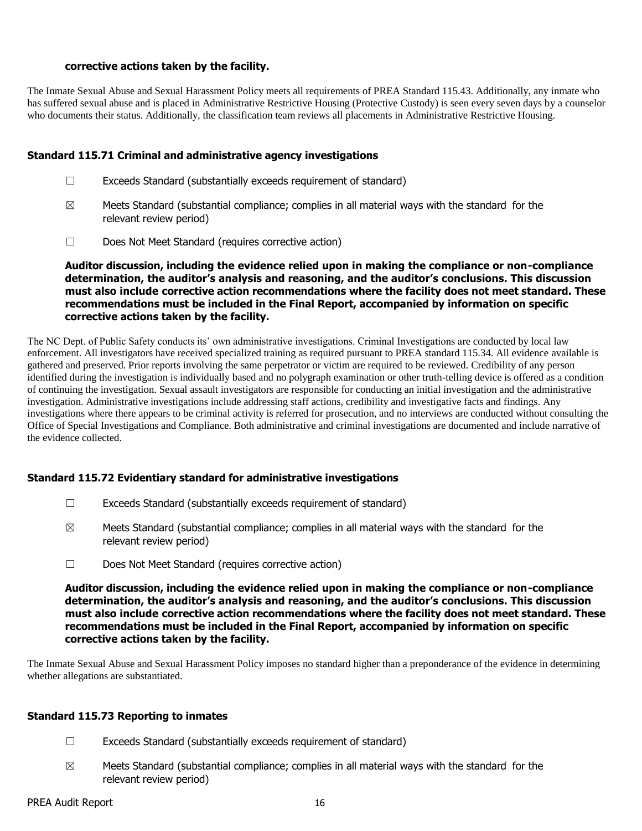### **corrective actions taken by the facility.**

The Inmate Sexual Abuse and Sexual Harassment Policy meets all requirements of PREA Standard 115.43. Additionally, any inmate who has suffered sexual abuse and is placed in Administrative Restrictive Housing (Protective Custody) is seen every seven days by a counselor who documents their status. Additionally, the classification team reviews all placements in Administrative Restrictive Housing.

### **Standard 115.71 Criminal and administrative agency investigations**

- $\Box$  Exceeds Standard (substantially exceeds requirement of standard)
- $\boxtimes$  Meets Standard (substantial compliance; complies in all material ways with the standard for the relevant review period)
- ☐ Does Not Meet Standard (requires corrective action)

**Auditor discussion, including the evidence relied upon in making the compliance or non-compliance determination, the auditor's analysis and reasoning, and the auditor's conclusions. This discussion must also include corrective action recommendations where the facility does not meet standard. These recommendations must be included in the Final Report, accompanied by information on specific corrective actions taken by the facility.**

The NC Dept. of Public Safety conducts its' own administrative investigations. Criminal Investigations are conducted by local law enforcement. All investigators have received specialized training as required pursuant to PREA standard 115.34. All evidence available is gathered and preserved. Prior reports involving the same perpetrator or victim are required to be reviewed. Credibility of any person identified during the investigation is individually based and no polygraph examination or other truth-telling device is offered as a condition of continuing the investigation. Sexual assault investigators are responsible for conducting an initial investigation and the administrative investigation. Administrative investigations include addressing staff actions, credibility and investigative facts and findings. Any investigations where there appears to be criminal activity is referred for prosecution, and no interviews are conducted without consulting the Office of Special Investigations and Compliance. Both administrative and criminal investigations are documented and include narrative of the evidence collected.

# **Standard 115.72 Evidentiary standard for administrative investigations**

- $\Box$  Exceeds Standard (substantially exceeds requirement of standard)
- $\boxtimes$  Meets Standard (substantial compliance; complies in all material ways with the standard for the relevant review period)
- ☐ Does Not Meet Standard (requires corrective action)

**Auditor discussion, including the evidence relied upon in making the compliance or non-compliance determination, the auditor's analysis and reasoning, and the auditor's conclusions. This discussion must also include corrective action recommendations where the facility does not meet standard. These recommendations must be included in the Final Report, accompanied by information on specific corrective actions taken by the facility.**

The Inmate Sexual Abuse and Sexual Harassment Policy imposes no standard higher than a preponderance of the evidence in determining whether allegations are substantiated.

# **Standard 115.73 Reporting to inmates**

- $\Box$  Exceeds Standard (substantially exceeds requirement of standard)
- $\boxtimes$  Meets Standard (substantial compliance; complies in all material ways with the standard for the relevant review period)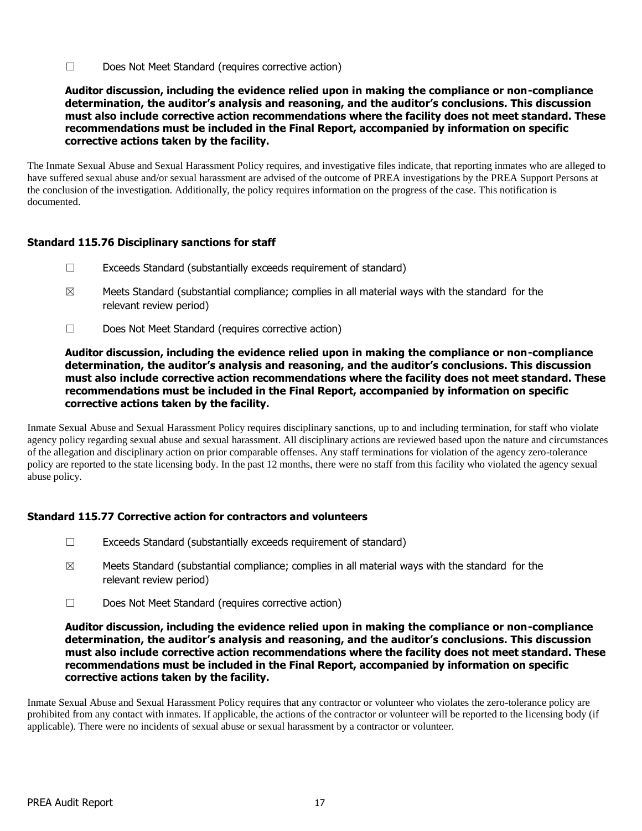☐ Does Not Meet Standard (requires corrective action)

**Auditor discussion, including the evidence relied upon in making the compliance or non-compliance determination, the auditor's analysis and reasoning, and the auditor's conclusions. This discussion must also include corrective action recommendations where the facility does not meet standard. These recommendations must be included in the Final Report, accompanied by information on specific corrective actions taken by the facility.**

The Inmate Sexual Abuse and Sexual Harassment Policy requires, and investigative files indicate, that reporting inmates who are alleged to have suffered sexual abuse and/or sexual harassment are advised of the outcome of PREA investigations by the PREA Support Persons at the conclusion of the investigation. Additionally, the policy requires information on the progress of the case. This notification is documented.

# **Standard 115.76 Disciplinary sanctions for staff**

- ☐ Exceeds Standard (substantially exceeds requirement of standard)
- $\boxtimes$  Meets Standard (substantial compliance; complies in all material ways with the standard for the relevant review period)
- ☐ Does Not Meet Standard (requires corrective action)

### **Auditor discussion, including the evidence relied upon in making the compliance or non-compliance determination, the auditor's analysis and reasoning, and the auditor's conclusions. This discussion must also include corrective action recommendations where the facility does not meet standard. These recommendations must be included in the Final Report, accompanied by information on specific corrective actions taken by the facility.**

Inmate Sexual Abuse and Sexual Harassment Policy requires disciplinary sanctions, up to and including termination, for staff who violate agency policy regarding sexual abuse and sexual harassment. All disciplinary actions are reviewed based upon the nature and circumstances of the allegation and disciplinary action on prior comparable offenses. Any staff terminations for violation of the agency zero-tolerance policy are reported to the state licensing body. In the past 12 months, there were no staff from this facility who violated the agency sexual abuse policy.

# **Standard 115.77 Corrective action for contractors and volunteers**

- ☐ Exceeds Standard (substantially exceeds requirement of standard)
- $\boxtimes$  Meets Standard (substantial compliance; complies in all material ways with the standard for the relevant review period)
- ☐ Does Not Meet Standard (requires corrective action)

### **Auditor discussion, including the evidence relied upon in making the compliance or non-compliance determination, the auditor's analysis and reasoning, and the auditor's conclusions. This discussion must also include corrective action recommendations where the facility does not meet standard. These recommendations must be included in the Final Report, accompanied by information on specific corrective actions taken by the facility.**

Inmate Sexual Abuse and Sexual Harassment Policy requires that any contractor or volunteer who violates the zero-tolerance policy are prohibited from any contact with inmates. If applicable, the actions of the contractor or volunteer will be reported to the licensing body (if applicable). There were no incidents of sexual abuse or sexual harassment by a contractor or volunteer.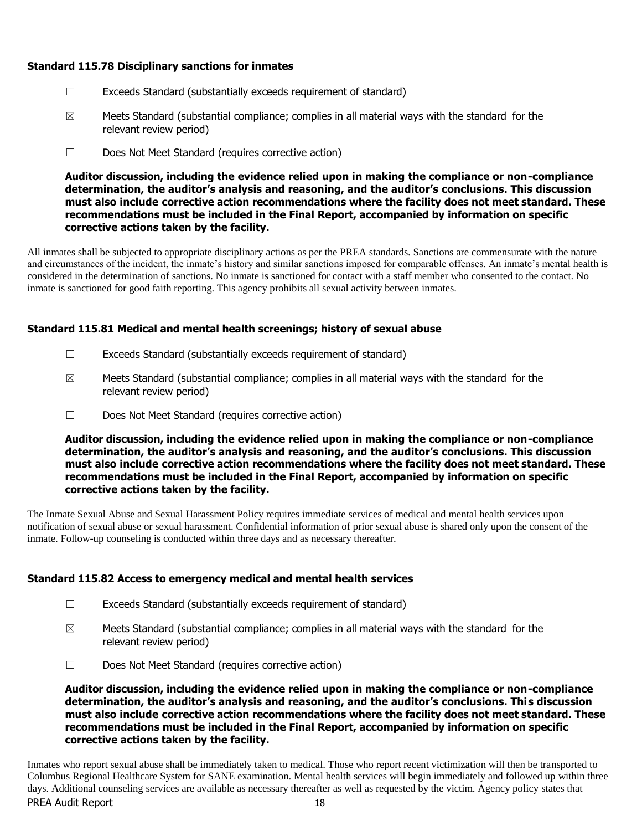# **Standard 115.78 Disciplinary sanctions for inmates**

- ☐ Exceeds Standard (substantially exceeds requirement of standard)
- $\boxtimes$  Meets Standard (substantial compliance; complies in all material ways with the standard for the relevant review period)
- ☐ Does Not Meet Standard (requires corrective action)

**Auditor discussion, including the evidence relied upon in making the compliance or non-compliance determination, the auditor's analysis and reasoning, and the auditor's conclusions. This discussion must also include corrective action recommendations where the facility does not meet standard. These recommendations must be included in the Final Report, accompanied by information on specific corrective actions taken by the facility.**

All inmates shall be subjected to appropriate disciplinary actions as per the PREA standards. Sanctions are commensurate with the nature and circumstances of the incident, the inmate's history and similar sanctions imposed for comparable offenses. An inmate's mental health is considered in the determination of sanctions. No inmate is sanctioned for contact with a staff member who consented to the contact. No inmate is sanctioned for good faith reporting. This agency prohibits all sexual activity between inmates.

# **Standard 115.81 Medical and mental health screenings; history of sexual abuse**

- $\Box$  Exceeds Standard (substantially exceeds requirement of standard)
- $\boxtimes$  Meets Standard (substantial compliance; complies in all material ways with the standard for the relevant review period)
- ☐ Does Not Meet Standard (requires corrective action)

**Auditor discussion, including the evidence relied upon in making the compliance or non-compliance determination, the auditor's analysis and reasoning, and the auditor's conclusions. This discussion must also include corrective action recommendations where the facility does not meet standard. These recommendations must be included in the Final Report, accompanied by information on specific corrective actions taken by the facility.**

The Inmate Sexual Abuse and Sexual Harassment Policy requires immediate services of medical and mental health services upon notification of sexual abuse or sexual harassment. Confidential information of prior sexual abuse is shared only upon the consent of the inmate. Follow-up counseling is conducted within three days and as necessary thereafter.

# **Standard 115.82 Access to emergency medical and mental health services**

- $\Box$  Exceeds Standard (substantially exceeds requirement of standard)
- $\boxtimes$  Meets Standard (substantial compliance; complies in all material ways with the standard for the relevant review period)
- ☐ Does Not Meet Standard (requires corrective action)

**Auditor discussion, including the evidence relied upon in making the compliance or non-compliance determination, the auditor's analysis and reasoning, and the auditor's conclusions. This discussion must also include corrective action recommendations where the facility does not meet standard. These recommendations must be included in the Final Report, accompanied by information on specific corrective actions taken by the facility.**

PREA Audit Report 18 Inmates who report sexual abuse shall be immediately taken to medical. Those who report recent victimization will then be transported to Columbus Regional Healthcare System for SANE examination. Mental health services will begin immediately and followed up within three days. Additional counseling services are available as necessary thereafter as well as requested by the victim. Agency policy states that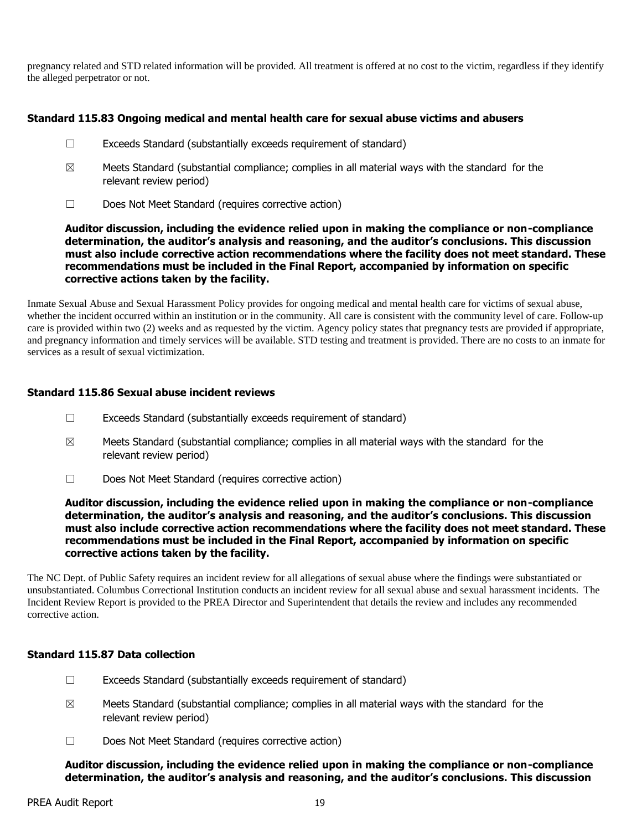pregnancy related and STD related information will be provided. All treatment is offered at no cost to the victim, regardless if they identify the alleged perpetrator or not.

# **Standard 115.83 Ongoing medical and mental health care for sexual abuse victims and abusers**

- ☐ Exceeds Standard (substantially exceeds requirement of standard)
- $\boxtimes$  Meets Standard (substantial compliance; complies in all material ways with the standard for the relevant review period)
- ☐ Does Not Meet Standard (requires corrective action)

**Auditor discussion, including the evidence relied upon in making the compliance or non-compliance determination, the auditor's analysis and reasoning, and the auditor's conclusions. This discussion must also include corrective action recommendations where the facility does not meet standard. These recommendations must be included in the Final Report, accompanied by information on specific corrective actions taken by the facility.**

Inmate Sexual Abuse and Sexual Harassment Policy provides for ongoing medical and mental health care for victims of sexual abuse, whether the incident occurred within an institution or in the community. All care is consistent with the community level of care. Follow-up care is provided within two (2) weeks and as requested by the victim. Agency policy states that pregnancy tests are provided if appropriate, and pregnancy information and timely services will be available. STD testing and treatment is provided. There are no costs to an inmate for services as a result of sexual victimization.

# **Standard 115.86 Sexual abuse incident reviews**

- $\Box$  Exceeds Standard (substantially exceeds requirement of standard)
- $\boxtimes$  Meets Standard (substantial compliance; complies in all material ways with the standard for the relevant review period)
- ☐ Does Not Meet Standard (requires corrective action)

**Auditor discussion, including the evidence relied upon in making the compliance or non-compliance determination, the auditor's analysis and reasoning, and the auditor's conclusions. This discussion must also include corrective action recommendations where the facility does not meet standard. These recommendations must be included in the Final Report, accompanied by information on specific corrective actions taken by the facility.**

The NC Dept. of Public Safety requires an incident review for all allegations of sexual abuse where the findings were substantiated or unsubstantiated. Columbus Correctional Institution conducts an incident review for all sexual abuse and sexual harassment incidents. The Incident Review Report is provided to the PREA Director and Superintendent that details the review and includes any recommended corrective action.

# **Standard 115.87 Data collection**

- ☐ Exceeds Standard (substantially exceeds requirement of standard)
- $\boxtimes$  Meets Standard (substantial compliance; complies in all material ways with the standard for the relevant review period)
- ☐ Does Not Meet Standard (requires corrective action)

**Auditor discussion, including the evidence relied upon in making the compliance or non-compliance determination, the auditor's analysis and reasoning, and the auditor's conclusions. This discussion**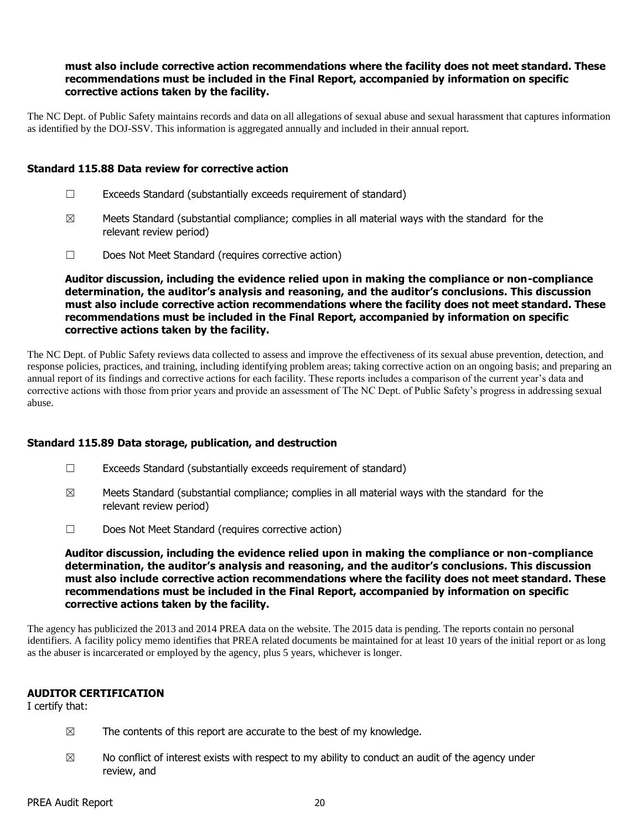#### **must also include corrective action recommendations where the facility does not meet standard. These recommendations must be included in the Final Report, accompanied by information on specific corrective actions taken by the facility.**

The NC Dept. of Public Safety maintains records and data on all allegations of sexual abuse and sexual harassment that captures information as identified by the DOJ-SSV. This information is aggregated annually and included in their annual report.

#### **Standard 115.88 Data review for corrective action**

- $\Box$  Exceeds Standard (substantially exceeds requirement of standard)
- $\boxtimes$  Meets Standard (substantial compliance; complies in all material ways with the standard for the relevant review period)
- ☐ Does Not Meet Standard (requires corrective action)

**Auditor discussion, including the evidence relied upon in making the compliance or non-compliance determination, the auditor's analysis and reasoning, and the auditor's conclusions. This discussion must also include corrective action recommendations where the facility does not meet standard. These recommendations must be included in the Final Report, accompanied by information on specific corrective actions taken by the facility.**

The NC Dept. of Public Safety reviews data collected to assess and improve the effectiveness of its sexual abuse prevention, detection, and response policies, practices, and training, including identifying problem areas; taking corrective action on an ongoing basis; and preparing an annual report of its findings and corrective actions for each facility. These reports includes a comparison of the current year's data and corrective actions with those from prior years and provide an assessment of The NC Dept. of Public Safety's progress in addressing sexual abuse.

#### **Standard 115.89 Data storage, publication, and destruction**

- ☐ Exceeds Standard (substantially exceeds requirement of standard)
- $\boxtimes$  Meets Standard (substantial compliance; complies in all material ways with the standard for the relevant review period)
- ☐ Does Not Meet Standard (requires corrective action)

**Auditor discussion, including the evidence relied upon in making the compliance or non-compliance determination, the auditor's analysis and reasoning, and the auditor's conclusions. This discussion must also include corrective action recommendations where the facility does not meet standard. These recommendations must be included in the Final Report, accompanied by information on specific corrective actions taken by the facility.**

The agency has publicized the 2013 and 2014 PREA data on the website. The 2015 data is pending. The reports contain no personal identifiers. A facility policy memo identifies that PREA related documents be maintained for at least 10 years of the initial report or as long as the abuser is incarcerated or employed by the agency, plus 5 years, whichever is longer.

#### **AUDITOR CERTIFICATION**

I certify that:

- $\boxtimes$  The contents of this report are accurate to the best of my knowledge.
- $\boxtimes$  No conflict of interest exists with respect to my ability to conduct an audit of the agency under review, and